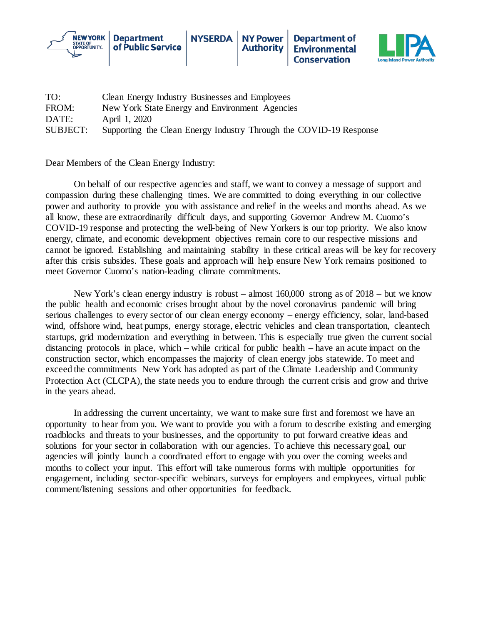



| TO:             | Clean Energy Industry Businesses and Employees                     |
|-----------------|--------------------------------------------------------------------|
| FROM:           | New York State Energy and Environment Agencies                     |
| DATE:           | April 1, 2020                                                      |
| <b>SUBJECT:</b> | Supporting the Clean Energy Industry Through the COVID-19 Response |

Dear Members of the Clean Energy Industry:

On behalf of our respective agencies and staff, we want to convey a message of support and compassion during these challenging times. We are committed to doing everything in our collective power and authority to provide you with assistance and relief in the weeks and months ahead. As we all know, these are extraordinarily difficult days, and supporting Governor Andrew M. Cuomo's COVID-19 response and protecting the well-being of New Yorkers is our top priority. We also know energy, climate, and economic development objectives remain core to our respective missions and cannot be ignored. Establishing and maintaining stability in these critical areas will be key for recovery after this crisis subsides. These goals and approach will help ensure New York remains positioned to meet Governor Cuomo's nation-leading climate commitments.

New York's clean energy industry is robust – almost 160,000 strong as of 2018 – but we know the public health and economic crises brought about by the novel coronavirus pandemic will bring serious challenges to every sector of our clean energy economy – energy efficiency, solar, land-based wind, offshore wind, heat pumps, energy storage, electric vehicles and clean transportation, cleantech startups, grid modernization and everything in between. This is especially true given the current social distancing protocols in place, which – while critical for public health – have an acute impact on the construction sector, which encompasses the majority of clean energy jobs statewide. To meet and exceed the commitments New York has adopted as part of the Climate Leadership and Community Protection Act (CLCPA), the state needs you to endure through the current crisis and grow and thrive in the years ahead.

In addressing the current uncertainty, we want to make sure first and foremost we have an opportunity to hear from you. We want to provide you with a forum to describe existing and emerging roadblocks and threats to your businesses, and the opportunity to put forward creative ideas and solutions for your sector in collaboration with our agencies. To achieve this necessary goal, our agencies will jointly launch a coordinated effort to engage with you over the coming weeks and months to collect your input. This effort will take numerous forms with multiple opportunities for engagement, including sector-specific webinars, surveys for employers and employees, virtual public comment/listening sessions and other opportunities for feedback.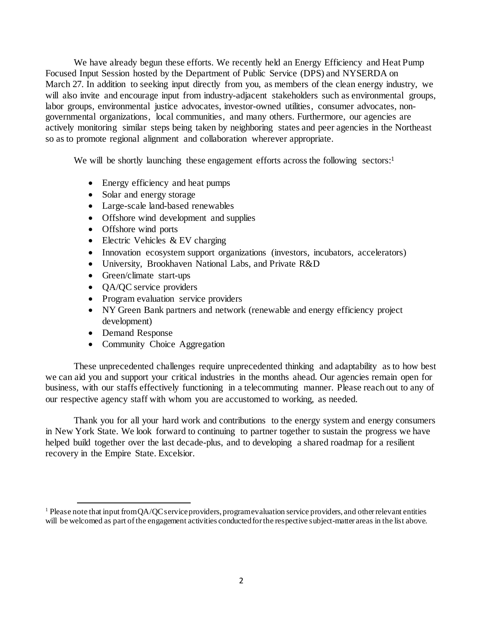We have already begun these efforts. We recently held an Energy Efficiency and Heat Pump Focused Input Session hosted by the Department of Public Service (DPS) and NYSERDA on March 27. In addition to seeking input directly from you, as members of the clean energy industry, we will also invite and encourage input from industry-adjacent stakeholders such as environmental groups, labor groups, environmental justice advocates, investor-owned utilities, consumer advocates, nongovernmental organizations, local communities, and many others. Furthermore, our agencies are actively monitoring similar steps being taken by neighboring states and peer agencies in the Northeast so as to promote regional alignment and collaboration wherever appropriate.

We will be shortly launching these engagement efforts across the following sectors:<sup>1</sup>

- Energy efficiency and heat pumps
- Solar and energy storage
- Large-scale land-based renewables
- Offshore wind development and supplies
- Offshore wind ports
- Electric Vehicles & EV charging
- Innovation ecosystem support organizations (investors, incubators, accelerators)
- University, Brookhaven National Labs, and Private R&D
- Green/climate start-ups
- QA/QC service providers
- Program evaluation service providers
- NY Green Bank partners and network (renewable and energy efficiency project development)
- Demand Response

 $\overline{a}$ 

• Community Choice Aggregation

These unprecedented challenges require unprecedented thinking and adaptability as to how best we can aid you and support your critical industries in the months ahead. Our agencies remain open for business, with our staffs effectively functioning in a telecommuting manner. Please reach out to any of our respective agency staff with whom you are accustomed to working, as needed.

Thank you for all your hard work and contributions to the energy system and energy consumers in New York State. We look forward to continuing to partner together to sustain the progress we have helped build together over the last decade-plus, and to developing a shared roadmap for a resilient recovery in the Empire State. Excelsior.

<span id="page-1-0"></span><sup>&</sup>lt;sup>1</sup> Please note that input from QA/QC service providers, program evaluation service providers, and other relevant entities will be welcomed as part of the engagement activities conducted for the respective subject-matter areas in the list above.